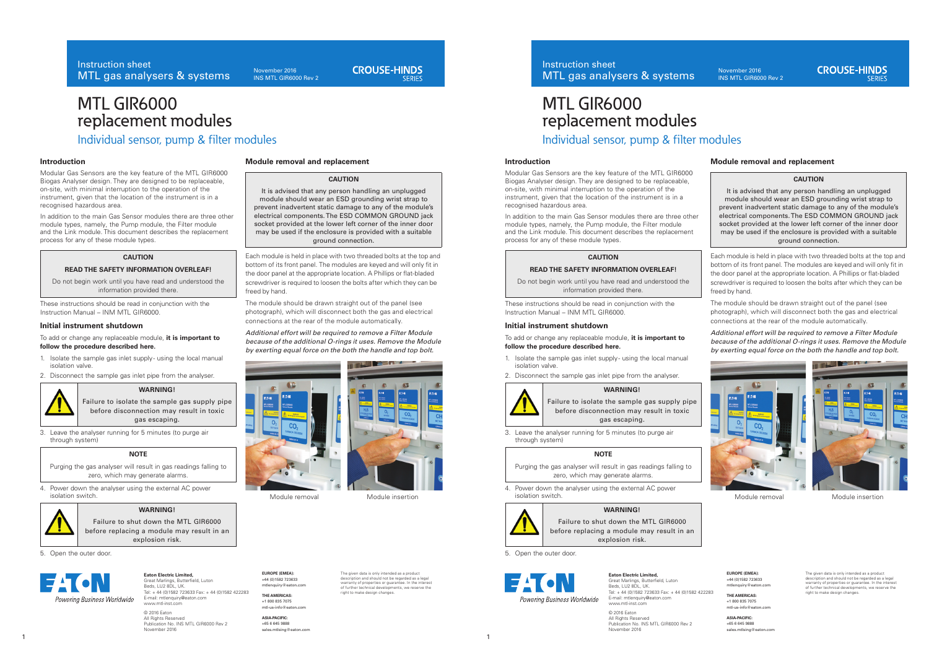November 2016 INS MTL GIR6000 Rev 2

# **CROUSE-HINDS**

# MTL GIR6000 replacement modules

Individual sensor, pump & filter modules

## **Introduction**

Modular Gas Sensors are the key feature of the MTL GIR6000 Biogas Analyser design. They are designed to be replaceable, on-site, with minimal interruption to the operation of the instrument, given that the location of the instrument is in a recognised hazardous area.

In addition to the main Gas Sensor modules there are three other module types, namely, the Pump module, the Filter module and the Link module. This document describes the replacement process for any of these module types.

## **CAUTION**

# **READ THE SAFETY INFORMATION OVERLEAF!**

Do not begin work until you have read and understood the information provided there.

These instructions should be read in conjunction with the Instruction Manual – INM MTL GIR6000.

## **Initial instrument shutdown**

### To add or change any replaceable module, **it is important to follow the procedure described here.**

- 1. Isolate the sample gas inlet supply using the local manual isolation valve.
- 2. Disconnect the sample gas inlet pipe from the analyser.



## **WARNING!**

Failure to isolate the sample gas supply pipe before disconnection may result in toxic gas escaping.

3. Leave the analyser running for 5 minutes (to purge air through system)

### **NOTE**

Purging the gas analyser will result in gas readings falling to -<br>zero, which may generate alarms.

4. Power down the analyser using the external AC power isolation switch.

# **WARNING!**



Failure to shut down the MTL GIR6000 before replacing a module may result in an explosion risk.

5. Open the outer door.



**Eaton Electric Limited,**

Great Marlings, Butterfield, Luton Beds, LU2 8DL, UK. Tel: + 44 (0)1582 723633 Fax: + 44 (0)1582 422283 E-mail: mtlenquiry@eaton.com www.mtl-inst.com

© 2016 Eaton All Rights Reserved Publication No. INS MTL GIR6000 Rev 2 November 2016

**Module removal and replacement**

## **CAUTION**

It is advised that any person handling an unplugged module should wear an ESD grounding wrist strap to prevent inadvertent static damage to any of the module's electrical components. The ESD COMMON GROUND jack socket provided at the lower left corner of the inner door may be used if the enclosure is provided with a suitable ground connection.

Each module is held in place with two threaded bolts at the top and bottom of its front panel. The modules are keyed and will only fit in the door panel at the appropriate location. A Phillips or flat-bladed screwdriver is required to loosen the bolts after which they can be freed by hand.

The module should be drawn straight out of the panel (see photograph), which will disconnect both the gas and electrical connections at the rear of the module automatically.

*Additional effort will be required to remove a Filter Module because of the additional O-rings it uses. Remove the Module by exerting equal force on the both the handle and top bolt.*





Module removal Module insertion

**EUROPE (EMEA):**  +44 (0)1582 723633 mtlenquiry@eaton.com

**THE AMERICAS:** +1 800 835 7075 mtl-us-info@eaton.com

**ASIA-PACIFIC:** +65 6 645 9888 sales.mtlsing@eaton.com The given data is only intended as a product description and should not be regarded as a legal warranty of properties or guarantee. In the interest of further technical developments, we reserve the or rurtner technical developm<br>right to make design changes